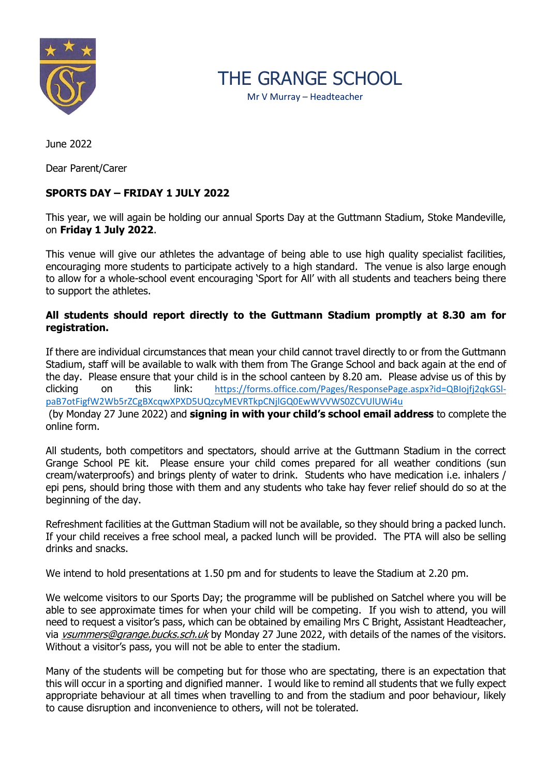

THE GRANGE SCHOOL

Mr V Murray – Headteacher

June 2022

Dear Parent/Carer

## **SPORTS DAY – FRIDAY 1 JULY 2022**

This year, we will again be holding our annual Sports Day at the Guttmann Stadium, Stoke Mandeville, on **Friday 1 July 2022**.

This venue will give our athletes the advantage of being able to use high quality specialist facilities, encouraging more students to participate actively to a high standard. The venue is also large enough to allow for a whole-school event encouraging 'Sport for All' with all students and teachers being there to support the athletes.

## **All students should report directly to the Guttmann Stadium promptly at 8.30 am for registration.**

If there are individual circumstances that mean your child cannot travel directly to or from the Guttmann Stadium, staff will be available to walk with them from The Grange School and back again at the end of the day. Please ensure that your child is in the school canteen by 8.20 am. Please advise us of this by clicking on this link: [https://forms.office.com/Pages/ResponsePage.aspx?id=QBIojfj2qkGSl](https://forms.office.com/Pages/ResponsePage.aspx?id=QBIojfj2qkGSl-paB7otFigfW2Wb5rZCgBXcqwXPXD5UQzcyMEVRTkpCNjlGQ0EwWVVWS0ZCVUlUWi4u)[paB7otFigfW2Wb5rZCgBXcqwXPXD5UQzcyMEVRTkpCNjlGQ0EwWVVWS0ZCVUlUWi4u](https://forms.office.com/Pages/ResponsePage.aspx?id=QBIojfj2qkGSl-paB7otFigfW2Wb5rZCgBXcqwXPXD5UQzcyMEVRTkpCNjlGQ0EwWVVWS0ZCVUlUWi4u)

(by Monday 27 June 2022) and **signing in with your child's school email address** to complete the online form.

All students, both competitors and spectators, should arrive at the Guttmann Stadium in the correct Grange School PE kit. Please ensure your child comes prepared for all weather conditions (sun cream/waterproofs) and brings plenty of water to drink. Students who have medication i.e. inhalers / epi pens, should bring those with them and any students who take hay fever relief should do so at the beginning of the day.

Refreshment facilities at the Guttman Stadium will not be available, so they should bring a packed lunch. If your child receives a free school meal, a packed lunch will be provided. The PTA will also be selling drinks and snacks.

We intend to hold presentations at 1.50 pm and for students to leave the Stadium at 2.20 pm.

We welcome visitors to our Sports Day; the programme will be published on Satchel where you will be able to see approximate times for when your child will be competing. If you wish to attend, you will need to request a visitor's pass, which can be obtained by emailing Mrs C Bright, Assistant Headteacher, via *vsummers@grange.bucks.sch.uk* by Monday 27 June 2022, with details of the names of the visitors. Without a visitor's pass, you will not be able to enter the stadium.

Many of the students will be competing but for those who are spectating, there is an expectation that this will occur in a sporting and dignified manner. I would like to remind all students that we fully expect appropriate behaviour at all times when travelling to and from the stadium and poor behaviour, likely to cause disruption and inconvenience to others, will not be tolerated.